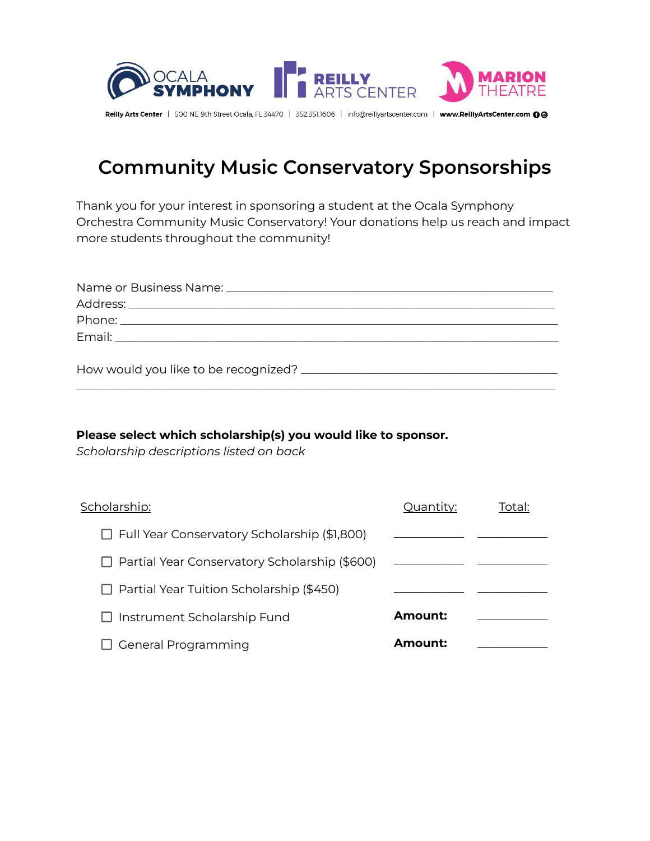

## **Community Music Conservatory Sponsorships**

Thank you for your interest in sponsoring a student at the Ocala Symphony Orchestra Community Music Conservatory! Your donations help us reach and impact more students throughout the community!

#### **Please select which scholarship(s) you would like to sponsor.**

*Scholarship descriptions listed on back*

| Scholarship:                                         | Quantity: | Total: |
|------------------------------------------------------|-----------|--------|
| $\Box$ Full Year Conservatory Scholarship (\$1,800)  |           |        |
| $\Box$ Partial Year Conservatory Scholarship (\$600) |           |        |
| $\Box$ Partial Year Tuition Scholarship (\$450)      |           |        |
| $\Box$ Instrument Scholarship Fund                   | Amount:   |        |
| <b>General Programming</b>                           | Amount:   |        |